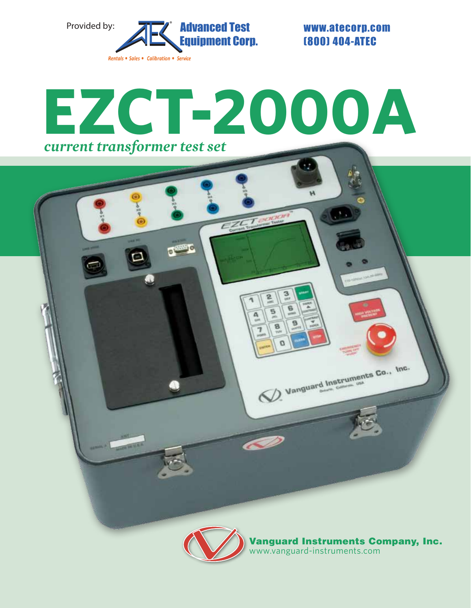

(800) 404-ATEC

# **EZCT-2000A** *current transformer test set*



www.vanguard-instruments.com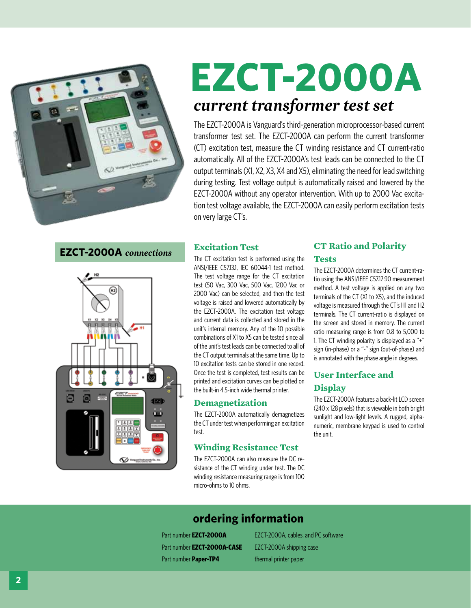

## **EZCT-2000A** *current transformer test set*

The EZCT-2000A is Vanguard's third-generation microprocessor-based current transformer test set. The EZCT-2000A can perform the current transformer (CT) excitation test, measure the CT winding resistance and CT current-ratio automatically. All of the EZCT-2000A's test leads can be connected to the CT output terminals (X1, X2, X3, X4 and X5), eliminating the need for lead switching during testing. Test voltage output is automatically raised and lowered by the EZCT-2000A without any operator intervention. With up to 2000 Vac excitation test voltage available, the EZCT-2000A can easily perform excitation tests on very large CT's.

#### **EZCT-2000A** *connections*



#### **Excitation Test**

The CT excitation test is performed using the ANSI/IEEE C57.13.1, IEC 60044-1 test method. The test voltage range for the CT excitation test (50 Vac, 300 Vac, 500 Vac, 1200 Vac or 2000 Vac) can be selected, and then the test voltage is raised and lowered automatically by the EZCT-2000A. The excitation test voltage and current data is collected and stored in the unit's internal memory. Any of the 10 possible combinations of X1 to X5 can be tested since all of the unit's test leads can be connected to all of the CT output terminals at the same time. Up to 10 excitation tests can be stored in one record. Once the test is completed, test results can be printed and excitation curves can be plotted on the built-in 4.5-inch wide thermal printer.

#### **Demagnetization**

The EZCT-2000A automatically demagnetizes the CT under test when performing an excitation test.

#### **Winding Resistance Test**

The EZCT-2000A can also measure the DC resistance of the CT winding under test. The DC winding resistance measuring range is from 100 micro-ohms to 10 ohms.

## **CT Ratio and Polarity**

#### **Tests**

The EZCT-2000A determines the CT current-ratio using the ANSI/IEEE C57.12.90 measurement method. A test voltage is applied on any two terminals of the CT (X1 to X5), and the induced voltage is measured through the CT's H1 and H2 terminals. The CT current-ratio is displayed on the screen and stored in memory. The current ratio measuring range is from 0.8 to 5,000 to 1. The CT winding polarity is displayed as a "+" sign (in-phase) or a "-" sign (out-of-phase) and is annotated with the phase angle in degrees.

#### **User Interface and Display**

The EZCT-2000A features a back-lit LCD screen (240 x 128 pixels) that is viewable in both bright sunlight and low-light levels. A rugged, alphanumeric, membrane keypad is used to control the unit.

### **ordering information**

Part number **EZCT-2000A-CASE** EZCT-2000A shipping case Part number **Paper-TP4** thermal printer paper

Part number **EZCT-2000A** EZCT-2000A, cables, and PC software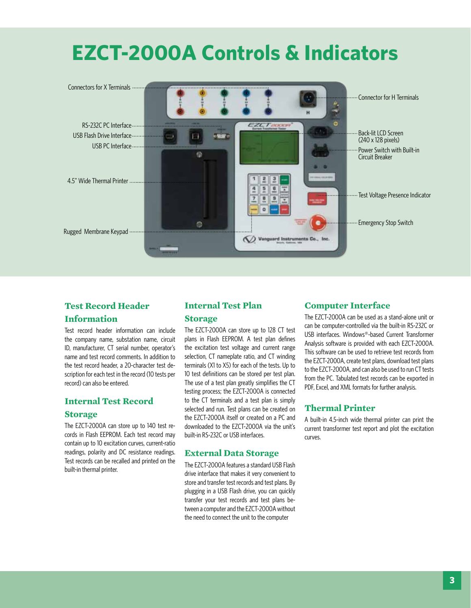## **EZCT-2000A Controls & Indicators**



#### **Test Record Header Information**

Test record header information can include the company name, substation name, circuit ID, manufacturer, CT serial number, operator's name and test record comments. In addition to the test record header, a 20-character test description for each test in the record (10 tests per record) can also be entered.

#### **Internal Test Record**

#### **Storage**

The EZCT-2000A can store up to 140 test records in Flash EEPROM. Each test record may contain up to 10 excitation curves, current-ratio readings, polarity and DC resistance readings. Test records can be recalled and printed on the built-in thermal printer.

#### **Internal Test Plan**

#### **Storage**

The EZCT-2000A can store up to 128 CT test plans in Flash EEPROM. A test plan defines the excitation test voltage and current range selection, CT nameplate ratio, and CT winding terminals (X1 to X5) for each of the tests. Up to 10 test definitions can be stored per test plan. The use of a test plan greatly simplifies the CT testing process; the EZCT-2000A is connected to the CT terminals and a test plan is simply selected and run. Test plans can be created on the EZCT-2000A itself or created on a PC and downloaded to the EZCT-2000A via the unit's built-in RS-232C or USB interfaces.

#### **External Data Storage**

The EZCT-2000A features a standard USB Flash drive interface that makes it very convenient to store and transfer test records and test plans. By plugging in a USB Flash drive, you can quickly transfer your test records and test plans between a computer and the EZCT-2000A without the need to connect the unit to the computer

#### **Computer Interface**

The EZCT-2000A can be used as a stand-alone unit or can be computer-controlled via the built-in RS-232C or USB interfaces. Windows®-based Current Transformer Analysis software is provided with each EZCT-2000A. This software can be used to retrieve test records from the EZCT-2000A, create test plans, download test plans to the EZCT-2000A, and can also be used to run CT tests from the PC. Tabulated test records can be exported in PDF, Excel, and XML formats for further analysis.

#### **Thermal Printer**

A built-in 4.5-inch wide thermal printer can print the current transformer test report and plot the excitation curves.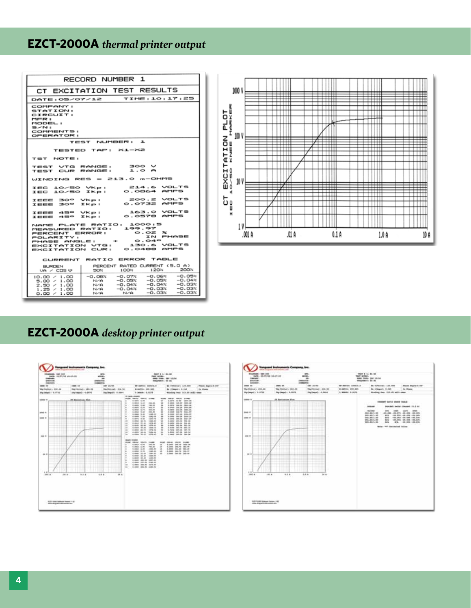### **EZCT-2000A** *thermal printer output*

| RECORD NUMBER 1                                                                           |                                                          |                                     |         |                            |                   |                      |      |
|-------------------------------------------------------------------------------------------|----------------------------------------------------------|-------------------------------------|---------|----------------------------|-------------------|----------------------|------|
| CT EXCITATION TEST RESULTS                                                                |                                                          | 1000 V                              |         | -----                      | ┉                 | -----                |      |
| TIME: 10: 17: 25<br>DATE: 05/07/12                                                        |                                                          |                                     | ------- |                            | --------          | ------               |      |
| COMPANY:<br>STATION:<br>CIRCUIT:<br>HFR:<br>MODEL:<br>$S/N$ :<br>COMMENTS:<br>OPERATOR:   |                                                          | Ľ<br>НU<br>OY<br>⊐ ແ<br>ΔC<br>100 V |         | .                          | $\cdots$          | 1111<br>---          |      |
| TEST NUMBER: 1                                                                            |                                                          | z<br>οu                             |         | -----                      | 7 III             | ▀                    |      |
| TESTED TAP: X1-X2                                                                         |                                                          | нШ<br>⊢z                            |         | ┯┯┯┯<br>.                  | <del>.</del><br>. | ------<br>.          | ---- |
| TST NOTE:                                                                                 |                                                          | ŒΥ                                  |         |                            |                   |                      |      |
| 300 V<br>TEST VTG RANGE:<br>1.0A<br>TEST CUR RANGE:                                       |                                                          | ⊢<br>H <sub>0</sub>                 |         |                            |                   |                      |      |
| WINDING RES = 213.0 m-OHMS                                                                |                                                          | ωη<br>10 V<br>x١                    |         |                            |                   |                      |      |
| 214.6 VOLTS<br>IEC 10/50 Vkp:<br>O.0864 AMPS<br>IEC 10/50 IKp:                            |                                                          | ш٥<br>н                             |         | $^{++}$<br>иш<br>7 T T T T | ┉<br>.            | ------<br>-----<br>. |      |
| IEEE 30° Vkp:<br>IEEE 30° IKp:                                                            | 200.2 VOLTS<br>O.O732 AMPS                               | ⊢<br>Üΰ                             |         |                            |                   |                      |      |
| IEEE 45° Vkp:<br>IEEE 45° Ikp:                                                            | 163.0 VOLTS<br>O.OS78 AMPS                               | ш<br>н                              |         |                            |                   |                      |      |
| NAME PLATE RATIO: 1000:5                                                                  |                                                          |                                     |         |                            |                   |                      |      |
| 199.97<br>MEASURED RATIO:<br>PERCENT ERROR:<br><b>POLARITY:</b><br>PHASE ANGLE:           | $O.02 \times$<br>IN PHASE<br>O.049                       |                                     | .001 A  | .01 A                      | 0.1A              | 1.0A                 | 10 A |
| EXCITATION VTG:<br>EXCITATION CUR:                                                        | 130.6 VOLTS<br>o.o488 AMPS                               |                                     |         |                            |                   |                      |      |
| CURRENT RATIO ERROR TABLE                                                                 |                                                          |                                     |         |                            |                   |                      |      |
| PERCENT RATED CURRENT (5.0 A)<br><b>BURDEN</b>                                            |                                                          |                                     |         |                            |                   |                      |      |
| 50%<br>$1 \text{OO}$ %<br>$\cup$ A / CDS $\varphi$                                        | 120%<br>200%<br>$-0.05%$                                 |                                     |         |                            |                   |                      |      |
| $-0.07%$<br>$-0.00%$<br>10.00 / 1.00<br>$-0.05%$<br>N/A<br>5.00 / 1.00<br>$-0.04%$<br>N/A | $-0.06%$<br>$-0.05%$<br>$-0.04%$<br>$-0.03%$<br>$-0.04%$ |                                     |         |                            |                   |                      |      |
| $2.50 \times 1.00$<br>$-0.04%$<br>N/A<br>$1.25 \times 1.00$<br>N/A<br>N/A<br>0.00 / 1.00  | $-0.03%$<br>$-0.03%$<br>$-0.03%$<br>$-0.03%$             |                                     |         |                            |                   |                      |      |

### **EZCT-2000A** *desktop printer output*



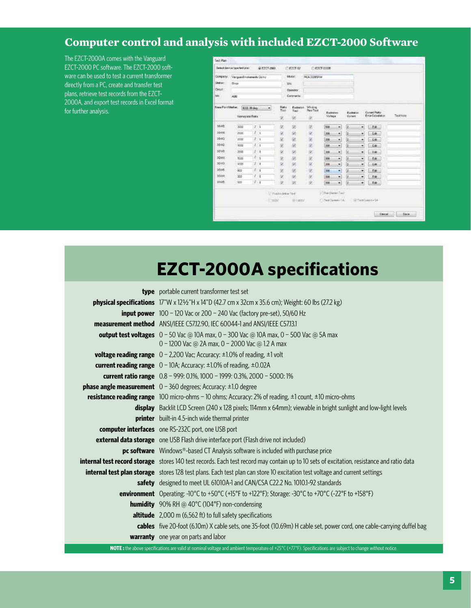## **Computer control and analysis with included EZCT-2000 Software**

The EZCT-2000A comes with the Vanguard EZCT-2000 PC software. The EZCT-2000 software can be used to test a current transformer directly from a PC, create and transfer test plans, retrieve test records from the EZCT-2000A, and export test records in Excel format for further analysis.

| Domperty:<br><b>Disk ser</b><br><b>Circuit</b><br>Mt. | <b>Dies</b><br>AGE                                                        | Vergued Instruments Colling |                    |                             |                                  | <b>Atoda</b> t<br><b>ROADDING</b><br>274<br>Одинется<br>Caterantal |     |                             |   |                                  |                  |              |  |
|-------------------------------------------------------|---------------------------------------------------------------------------|-----------------------------|--------------------|-----------------------------|----------------------------------|--------------------------------------------------------------------|-----|-----------------------------|---|----------------------------------|------------------|--------------|--|
|                                                       | <b>Xewe PontMaker</b><br><b>ECE 30 days</b><br>٠<br><b>Newcown Firsts</b> |                             | Fisks<br>Test<br>诺 | <b>Externe</b><br>Text<br>粥 | Winding<br><b>Res Text</b><br>R. | Escheren<br>Voltage                                                |     | Exclusion<br><b>Current</b> |   | Current Plake<br>Erra Occulation | <b>Tent fame</b> |              |  |
| 0.00000<br>33-300                                     |                                                                           | 3000                        | 2                  | ٦                           | 望                                | 团                                                                  | 区   | kos                         | ۰ | 1z                               | ۰                | $1.88 -$     |  |
| 33,000                                                |                                                                           | 25.00                       | 1                  | ٠                           | я                                | 团                                                                  | ĸ   | 308                         | ۰ | īz                               | ٠                | 44           |  |
| 3340                                                  |                                                                           | 2110                        |                    | ٠                           | 冦                                | 尉                                                                  | k   | <b>JOB</b>                  | ٠ | lä                               | ٠                | $-54$        |  |
| 5340                                                  |                                                                           | 1000                        | ł                  | 1                           | 굥                                | 諾                                                                  | ë   | DOM:                        | ٠ | Ŀ                                | ۰                | <b>LIGHT</b> |  |
| <b>SOVE</b>                                           |                                                                           | 3500                        |                    | ×                           | W)                               | (a)                                                                | R.  | 38                          | ٠ | 国                                | ۰                | <b>Eat</b>   |  |
| 3/2001                                                |                                                                           | 9100                        | ž                  | 3                           |                                  | 团                                                                  | 諾   | <b>JOB</b>                  | ۰ | lż                               | ۰                | 18.4         |  |
| 3243                                                  |                                                                           | \$100                       | ż                  | ٠                           | 38.BE                            | 粥                                                                  | Ķ   | 308                         | ۰ | u                                | ٠                | <b>Sat</b>   |  |
| 5558                                                  |                                                                           | 922                         |                    | ۱                           | ø                                | 國                                                                  | ø   | bom                         | ٠ | (z                               | ۰                | $-16$        |  |
| <b>SOUR</b>                                           |                                                                           | 300                         |                    | Ŧ                           | 诃                                | 闸                                                                  | R,  | <b>ISB</b>                  | ۰ | íż.                              | ۰                | 5.90         |  |
| 304505                                                |                                                                           | tex                         | $\mid \downarrow$  | $\frac{1}{2}$               | U,                               | 閉                                                                  | (a) | <b>SOR</b>                  | ۰ | īs.                              | ٠                | <b>Far</b>   |  |
|                                                       |                                                                           |                             |                    |                             | U. Picturistics Text             |                                                                    |     | 17 Near Decision Taxit      |   |                                  |                  |              |  |
|                                                       |                                                                           |                             |                    |                             | - T194304                        | <b>BILBOY</b>                                                      |     | 17 17 level Chrysler 4 1-6. |   |                                  |                  | STellDenv-SE |  |

## **EZCT-2000A specifications**

| <b>type</b> portable current transformer test set                                                                                         |
|-------------------------------------------------------------------------------------------------------------------------------------------|
| <b>physical specifications</b> $17''W \times 12\frac{1}{2}H \times 14''D$ (42.7 cm x 32cm x 35.6 cm); Weight: 60 lbs (27.2 kg)            |
| <b>input power</b> $100 - 120$ Vac or $200 - 240$ Vac (factory pre-set), 50/60 Hz                                                         |
| measurement method ANSI/IEEE C57.12.90, IEC 60044-1 and ANSI/IEEE C57.13.1                                                                |
| <b>output test voltages</b> $0 - 50$ Vac @ 10A max, $0 - 300$ Vac @ 10A max, $0 - 500$ Vac @ 5A max                                       |
| 0 - 1200 Vac @ 2A max, 0 - 2000 Vac @ 1.2 A max                                                                                           |
| <b>voltage reading range</b> $0 - 2,200$ Vac; Accuracy: $\pm 1.0\%$ of reading, $\pm 1$ volt                                              |
| current reading range $0 - 10A$ ; Accuracy: $\pm 1.0\%$ of reading, $\pm 0.02A$                                                           |
| current ratio range $0.8 - 999: 0.1\%$ , 1000 - 1999: 0.3%, 2000 - 5000: 1%                                                               |
| <b>phase angle measurement</b> $0 - 360$ degrees; Accuracy: $\pm 1.0$ degree                                                              |
| <b>resistance reading range</b> 100 micro-ohms - 10 ohms; Accuracy: 2% of reading, ±1 count, ±10 micro-ohms                               |
| display Backlit LCD Screen (240 x 128 pixels; 114mm x 64mm); viewable in bright sunlight and low-light levels                             |
| <b>printer</b> built-in 4.5-inch wide thermal printer                                                                                     |
| computer interfaces one RS-232C port, one USB port                                                                                        |
| external data storage one USB Flash drive interface port (Flash drive not included)                                                       |
| pc software Windows <sup>®</sup> -based CT Analysis software is included with purchase price                                              |
| internal test record storage stores 140 test records. Each test record may contain up to 10 sets of excitation, resistance and ratio data |
| <b>internal test plan storage</b> stores 128 test plans. Each test plan can store 10 excitation test voltage and current settings         |
| <b>safety</b> designed to meet UL 61010A-1 and CAN/CSA C22.2 No. 1010.1-92 standards                                                      |
| environment Operating: -10°C to +50°C (+15°F to +122°F); Storage: -30°C to +70°C (-22°F to +158°F)                                        |
| <b>humidity</b> 90% RH @ 40°C (104°F) non-condensing                                                                                      |
| altitude 2,000 m (6,562 ft) to full safety specifications                                                                                 |
| cables five 20-foot (6.10m) X cable sets, one 35-foot (10.69m) H cable set, power cord, one cable-carrying duffel bag                     |
| warranty one year on parts and labor                                                                                                      |

**NOTE**: the above specifications are valid at nominal voltage and ambient temperature of +25°C (+77°F). Specifications are subject to change without notic